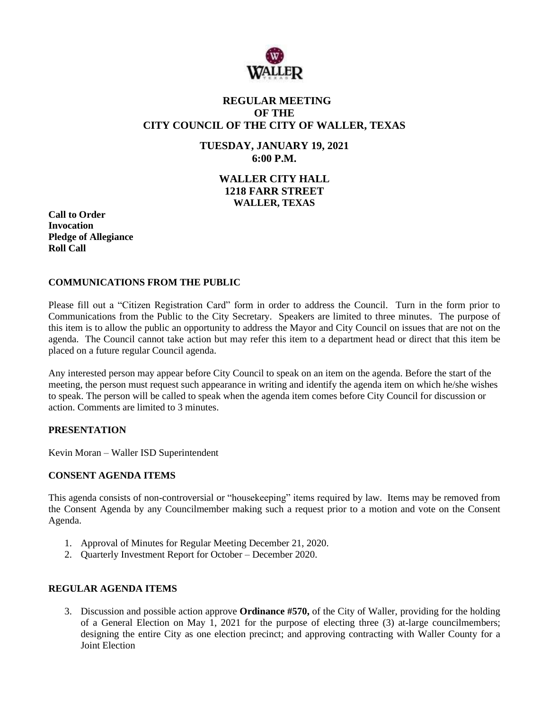

# **REGULAR MEETING OF THE CITY COUNCIL OF THE CITY OF WALLER, TEXAS**

# **TUESDAY, JANUARY 19, 2021 6:00 P.M.**

# **WALLER CITY HALL 1218 FARR STREET WALLER, TEXAS**

**Call to Order Invocation Pledge of Allegiance Roll Call**

### **COMMUNICATIONS FROM THE PUBLIC**

Please fill out a "Citizen Registration Card" form in order to address the Council. Turn in the form prior to Communications from the Public to the City Secretary. Speakers are limited to three minutes. The purpose of this item is to allow the public an opportunity to address the Mayor and City Council on issues that are not on the agenda. The Council cannot take action but may refer this item to a department head or direct that this item be placed on a future regular Council agenda.

Any interested person may appear before City Council to speak on an item on the agenda. Before the start of the meeting, the person must request such appearance in writing and identify the agenda item on which he/she wishes to speak. The person will be called to speak when the agenda item comes before City Council for discussion or action. Comments are limited to 3 minutes.

### **PRESENTATION**

Kevin Moran – Waller ISD Superintendent

### **CONSENT AGENDA ITEMS**

This agenda consists of non-controversial or "housekeeping" items required by law. Items may be removed from the Consent Agenda by any Councilmember making such a request prior to a motion and vote on the Consent Agenda.

- 1. Approval of Minutes for Regular Meeting December 21, 2020.
- 2. Quarterly Investment Report for October December 2020.

### **REGULAR AGENDA ITEMS**

3. Discussion and possible action approve **Ordinance #570,** of the City of Waller, providing for the holding of a General Election on May 1, 2021 for the purpose of electing three (3) at-large councilmembers; designing the entire City as one election precinct; and approving contracting with Waller County for a Joint Election